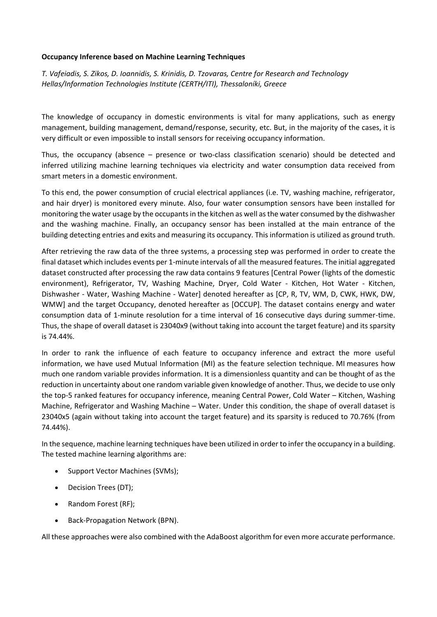## **Occupancy Inference based on Machine Learning Techniques**

*T. Vafeiadis, S. Zikos, D. Ioannidis, S. Krinidis, D. Tzovaras, Centre for Research and Technology Hellas/Information Technologies Institute (CERTH/ITI), Thessaloníki, Greece*

The knowledge of occupancy in domestic environments is vital for many applications, such as energy management, building management, demand/response, security, etc. But, in the majority of the cases, it is very difficult or even impossible to install sensors for receiving occupancy information.

Thus, the occupancy (absence – presence or two-class classification scenario) should be detected and inferred utilizing machine learning techniques via electricity and water consumption data received from smart meters in a domestic environment.

To this end, the power consumption of crucial electrical appliances (i.e. TV, washing machine, refrigerator, and hair dryer) is monitored every minute. Also, four water consumption sensors have been installed for monitoring the water usage by the occupants in the kitchen as well as the water consumed by the dishwasher and the washing machine. Finally, an occupancy sensor has been installed at the main entrance of the building detecting entries and exits and measuring its occupancy. This information is utilized as ground truth.

After retrieving the raw data of the three systems, a processing step was performed in order to create the final dataset which includes events per 1-minute intervals of all the measured features. The initial aggregated dataset constructed after processing the raw data contains 9 features [Central Power (lights of the domestic environment), Refrigerator, TV, Washing Machine, Dryer, Cold Water - Kitchen, Hot Water - Kitchen, Dishwasher - Water, Washing Machine - Water] denoted hereafter as [CP, R, TV, WM, D, CWK, HWK, DW, WMW] and the target Occupancy, denoted hereafter as [OCCUP]. The dataset contains energy and water consumption data of 1-minute resolution for a time interval of 16 consecutive days during summer-time. Thus, the shape of overall dataset is 23040x9 (without taking into account the target feature) and its sparsity is 74.44%.

In order to rank the influence of each feature to occupancy inference and extract the more useful information, we have used Mutual Information (MI) as the feature selection technique. MI measures how much one random variable provides information. It is a dimensionless quantity and can be thought of as the reduction in uncertainty about one random variable given knowledge of another. Thus, we decide to use only the top-5 ranked features for occupancy inference, meaning Central Power, Cold Water – Kitchen, Washing Machine, Refrigerator and Washing Machine – Water. Under this condition, the shape of overall dataset is 23040x5 (again without taking into account the target feature) and its sparsity is reduced to 70.76% (from 74.44%).

In the sequence, machine learning techniques have been utilized in order to infer the occupancy in a building. The tested machine learning algorithms are:

- Support Vector Machines (SVMs);
- Decision Trees (DT);
- Random Forest (RF);
- Back-Propagation Network (BPN).

All these approaches were also combined with the AdaBoost algorithm for even more accurate performance.